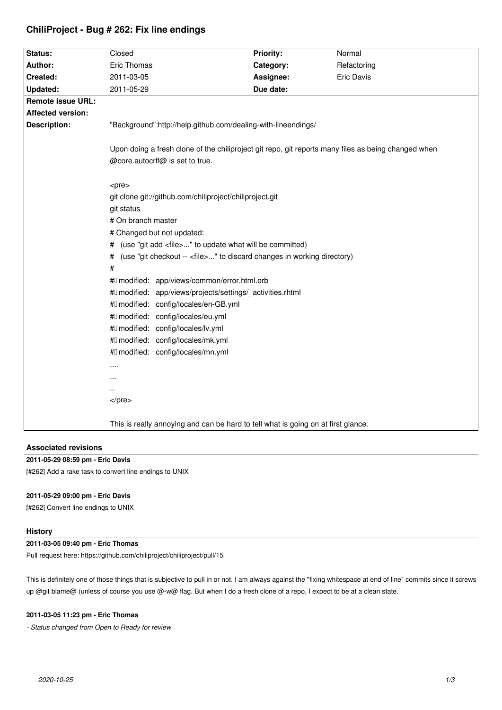| Status:                  | Closed                                                                                                     | Priority: | Normal      |
|--------------------------|------------------------------------------------------------------------------------------------------------|-----------|-------------|
| Author:                  | Eric Thomas                                                                                                | Category: | Refactoring |
| Created:                 | 2011-03-05                                                                                                 | Assignee: | Eric Davis  |
| <b>Updated:</b>          | 2011-05-29                                                                                                 | Due date: |             |
| <b>Remote issue URL:</b> |                                                                                                            |           |             |
| <b>Affected version:</b> |                                                                                                            |           |             |
| <b>Description:</b>      | "Background":http://help.github.com/dealing-with-lineendings/                                              |           |             |
|                          |                                                                                                            |           |             |
|                          | Upon doing a fresh clone of the chiliproject git repo, git reports many files as being changed when        |           |             |
|                          | @core.autocrlf@ is set to true.                                                                            |           |             |
|                          |                                                                                                            |           |             |
|                          | <pre></pre>                                                                                                |           |             |
|                          | git clone git://github.com/chiliproject/chiliproject.git                                                   |           |             |
|                          | git status                                                                                                 |           |             |
|                          | # On branch master                                                                                         |           |             |
|                          | # Changed but not updated:                                                                                 |           |             |
|                          | # (use "git add <file>" to update what will be committed)</file>                                           |           |             |
|                          | (use "git checkout -- <file>" to discard changes in working directory)<br/>#</file>                        |           |             |
|                          | #                                                                                                          |           |             |
|                          | #0 modified: app/views/common/error.html.erb<br>#0 modified: app/views/projects/settings/_activities.rhtml |           |             |
|                          | #0 modified: config/locales/en-GB.yml                                                                      |           |             |
|                          | #0 modified: config/locales/eu.yml                                                                         |           |             |
|                          | #0 modified: config/locales/lv.yml                                                                         |           |             |
|                          | #0 modified: config/locales/mk.yml                                                                         |           |             |
|                          | #0 modified: config/locales/mn.yml                                                                         |           |             |
|                          | .                                                                                                          |           |             |
|                          |                                                                                                            |           |             |
|                          |                                                                                                            |           |             |
|                          | $<$ /pre $>$                                                                                               |           |             |
|                          |                                                                                                            |           |             |
|                          | This is really annoying and can be hard to tell what is going on at first glance.                          |           |             |
|                          |                                                                                                            |           |             |

# **ChiliProject - Bug # 262: Fix line endings**

# **Associated revisions**

## **2011-05-29 08:59 pm - Eric Davis**

[#262] Add a rake task to convert line endings to UNIX

# **2011-05-29 09:00 pm - Eric Davis**

[#262] Convert line endings to UNIX

## **History**

# **2011-03-05 09:40 pm - Eric Thomas**

Pull request here: https://github.com/chiliproject/chiliproject/pull/15

This is definitely one of those things that is subjective to pull in or not. I am always against the "fixing whitespace at end of line" commits since it screws up @git blame@ (unless of course you use @-w@ flag. But when I do a fresh clone of a repo, I expect to be at a clean state.

# **2011-03-05 11:23 pm - Eric Thomas**

*- Status changed from Open to Ready for review*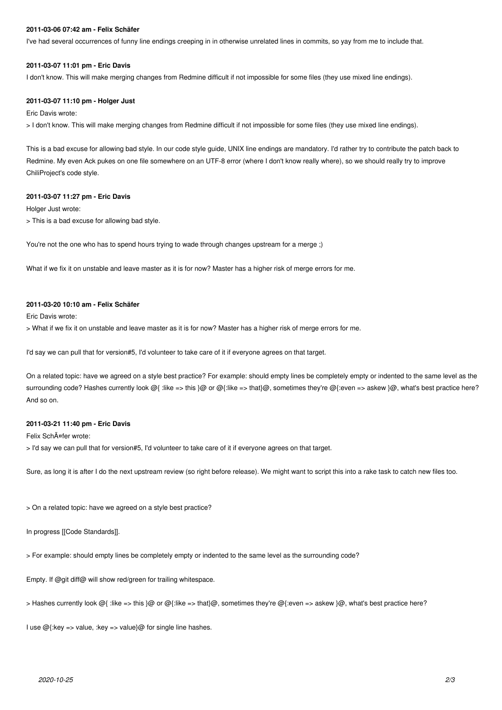### **2011-03-06 07:42 am - Felix Schäfer**

I've had several occurrences of funny line endings creeping in in otherwise unrelated lines in commits, so yay from me to include that.

#### **2011-03-07 11:01 pm - Eric Davis**

I don't know. This will make merging changes from Redmine difficult if not impossible for some files (they use mixed line endings).

#### **2011-03-07 11:10 pm - Holger Just**

Eric Davis wrote:

> I don't know. This will make merging changes from Redmine difficult if not impossible for some files (they use mixed line endings).

This is a bad excuse for allowing bad style. In our code style guide, UNIX line endings are mandatory. I'd rather try to contribute the patch back to Redmine. My even Ack pukes on one file somewhere on an UTF-8 error (where I don't know really where), so we should really try to improve ChiliProject's code style.

#### **2011-03-07 11:27 pm - Eric Davis**

Holger Just wrote:

> This is a bad excuse for allowing bad style.

You're not the one who has to spend hours trying to wade through changes upstream for a merge ;)

What if we fix it on unstable and leave master as it is for now? Master has a higher risk of merge errors for me.

## **2011-03-20 10:10 am - Felix Schäfer**

Eric Davis wrote:

> What if we fix it on unstable and leave master as it is for now? Master has a higher risk of merge errors for me.

I'd say we can pull that for version#5, I'd volunteer to take care of it if everyone agrees on that target.

On a related topic: have we agreed on a style best practice? For example: should empty lines be completely empty or indented to the same level as the surrounding code? Hashes currently look @{ :like => this }@ or @{:like => that}@, sometimes they're @{:even => askew }@, what's best practice here? And so on.

### **2011-03-21 11:40 pm - Eric Davis**

Felix SchĤfer wrote:

> I'd say we can pull that for version#5, I'd volunteer to take care of it if everyone agrees on that target.

Sure, as long it is after I do the next upstream review (so right before release). We might want to script this into a rake task to catch new files too.

> On a related topic: have we agreed on a style best practice?

In progress [[Code Standards]].

> For example: should empty lines be completely empty or indented to the same level as the surrounding code?

Empty. If @git diff@ will show red/green for trailing whitespace.

> Hashes currently look @{ :like => this }@ or @{:like => that}@, sometimes they're @{:even => askew }@, what's best practice here?

I use  $@$ {:key => value, :key => value}  $@$  for single line hashes.